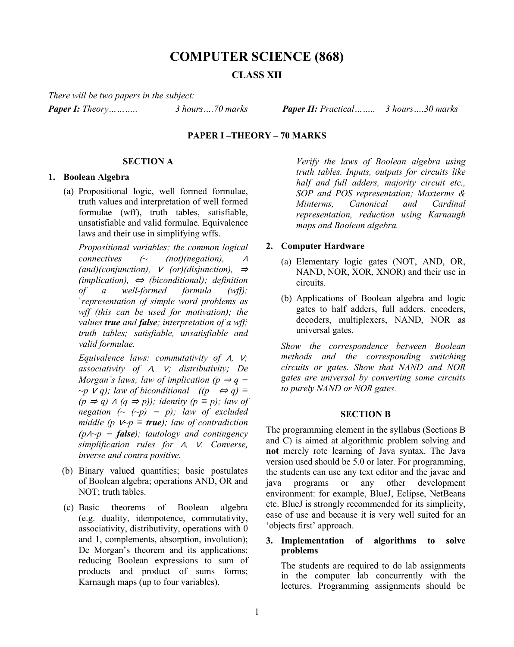# **COMPUTER SCIENCE (868)**

## **CLASS XII**

*There will be two papers in the subject:*

*Paper I: Theory……….. 3 hours….70 marks Paper II: Practical…….. 3 hours….30 marks*

### **PAPER I –THEORY – 70 MARKS**

## **SECTION A**

### **1. Boolean Algebra**

(a) Propositional logic, well formed formulae, truth values and interpretation of well formed formulae (wff), truth tables, satisfiable, unsatisfiable and valid formulae. Equivalence laws and their use in simplifying wffs.

*Propositional variables; the common logical connectives (~ (not)(negation),* <sup>∧</sup> *(and)(conjunction),* <sup>∨</sup> *(or)(disjunction),* <sup>⇒</sup> *(implication),* <sup>⇔</sup> *(biconditional); definition of a well-formed formula (wff);*  `*representation of simple word problems as wff (this can be used for motivation); the values true and false; interpretation of a wff; truth tables; satisfiable, unsatisfiable and valid formulae.* 

*Equivalence laws: commutativity of* ∧*,* ∨*; associativity of* ∧*,* ∨*; distributivity; De Morgan's laws; law of implication (p*  $\Rightarrow$  *q*  $\equiv$  $~\sim p$  *V q*); law of biconditional ((p ⇔ *q*)  $\equiv$ *(p ⇒ q)*  $\land$  *(q ⇒ p)); identity (p ≡ p); law of negation*  $(\sim (\sim p)) \equiv p$ ; law of excluded *middle (p*  $V \sim p \equiv \textbf{true}$ *); law of contradiction (p*∧*~p ≡ false); tautology and contingency simplification rules for* ∧*,* ∨*. Converse, inverse and contra positive.*

- (b) Binary valued quantities; basic postulates of Boolean algebra; operations AND, OR and NOT; truth tables.
- (c) Basic theorems of Boolean algebra (e.g. duality, idempotence, commutativity, associativity, distributivity, operations with 0 and 1, complements, absorption, involution); De Morgan's theorem and its applications; reducing Boolean expressions to sum of products and product of sums forms; Karnaugh maps (up to four variables).

*Verify the laws of Boolean algebra using truth tables. Inputs, outputs for circuits like half and full adders, majority circuit etc., SOP and POS representation; Maxterms & Minterms, Canonical and Cardinal representation, reduction using Karnaugh maps and Boolean algebra.*

#### **2. Computer Hardware**

- (a) Elementary logic gates (NOT, AND, OR, NAND, NOR, XOR, XNOR) and their use in circuits.
- (b) Applications of Boolean algebra and logic gates to half adders, full adders, encoders, decoders, multiplexers, NAND, NOR as universal gates.

*Show the correspondence between Boolean methods and the corresponding switching circuits or gates. Show that NAND and NOR gates are universal by converting some circuits to purely NAND or NOR gates.*

#### **SECTION B**

The programming element in the syllabus (Sections B and C) is aimed at algorithmic problem solving and **not** merely rote learning of Java syntax. The Java version used should be 5.0 or later. For programming, the students can use any text editor and the javac and java programs or any other development environment: for example, BlueJ, Eclipse, NetBeans etc. BlueJ is strongly recommended for its simplicity, ease of use and because it is very well suited for an 'objects first' approach.

#### **3. Implementation of algorithms to solve problems**

The students are required to do lab assignments in the computer lab concurrently with the lectures. Programming assignments should be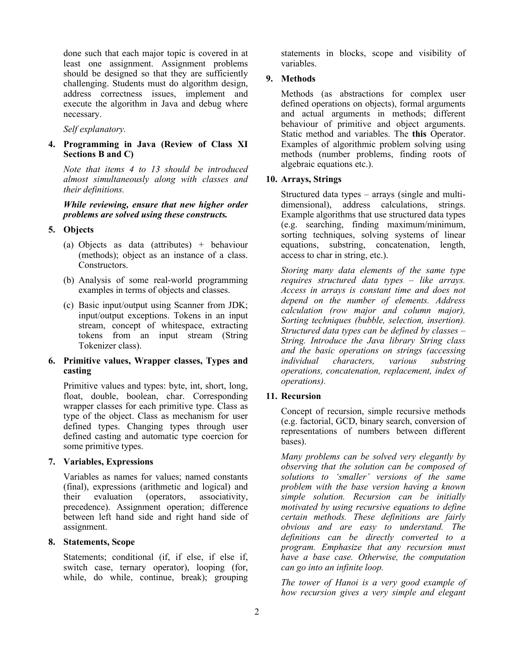done such that each major topic is covered in at least one assignment. Assignment problems should be designed so that they are sufficiently challenging. Students must do algorithm design, address correctness issues, implement and execute the algorithm in Java and debug where necessary.

*Self explanatory.*

## **4. Programming in Java (Review of Class XI Sections B and C)**

*Note that items 4 to 13 should be introduced almost simultaneously along with classes and their definitions.*

*While reviewing, ensure that new higher order problems are solved using these constructs.*

## **5. Objects**

- (a) Objects as data (attributes) + behaviour (methods); object as an instance of a class. Constructors.
- (b) Analysis of some real-world programming examples in terms of objects and classes.
- (c) Basic input/output using Scanner from JDK; input/output exceptions. Tokens in an input stream, concept of whitespace, extracting tokens from an input stream (String Tokenizer class).

## **6. Primitive values, Wrapper classes, Types and casting**

Primitive values and types: byte, int, short, long, float, double, boolean, char. Corresponding wrapper classes for each primitive type. Class as type of the object. Class as mechanism for user defined types. Changing types through user defined casting and automatic type coercion for some primitive types.

## **7. Variables, Expressions**

Variables as names for values; named constants (final), expressions (arithmetic and logical) and<br>their evaluation (operators, associativity, their evaluation (operators, associativity, precedence). Assignment operation; difference between left hand side and right hand side of assignment.

## **8. Statements, Scope**

Statements; conditional (if, if else, if else if, switch case, ternary operator), looping (for, while, do while, continue, break); grouping statements in blocks, scope and visibility of variables.

## **9. Methods**

Methods (as abstractions for complex user defined operations on objects), formal arguments and actual arguments in methods; different behaviour of primitive and object arguments. Static method and variables. The **this** Operator. Examples of algorithmic problem solving using methods (number problems, finding roots of algebraic equations etc.).

## **10. Arrays, Strings**

Structured data types – arrays (single and multidimensional), address calculations, strings. Example algorithms that use structured data types (e.g. searching, finding maximum/minimum, sorting techniques, solving systems of linear equations, substring, concatenation, length, access to char in string, etc.).

*Storing many data elements of the same type requires structured data types – like arrays. Access in arrays is constant time and does not depend on the number of elements. Address calculation (row major and column major), Sorting techniques (bubble, selection, insertion). Structured data types can be defined by classes – String. Introduce the Java library String class and the basic operations on strings (accessing individual characters, various substring operations, concatenation, replacement, index of operations).* 

## **11. Recursion**

Concept of recursion, simple recursive methods (e.g. factorial, GCD, binary search, conversion of representations of numbers between different bases).

*Many problems can be solved very elegantly by observing that the solution can be composed of solutions to 'smaller' versions of the same problem with the base version having a known simple solution. Recursion can be initially motivated by using recursive equations to define certain methods. These definitions are fairly obvious and are easy to understand. The definitions can be directly converted to a program. Emphasize that any recursion must have a base case. Otherwise, the computation can go into an infinite loop.* 

*The tower of Hanoi is a very good example of how recursion gives a very simple and elegant*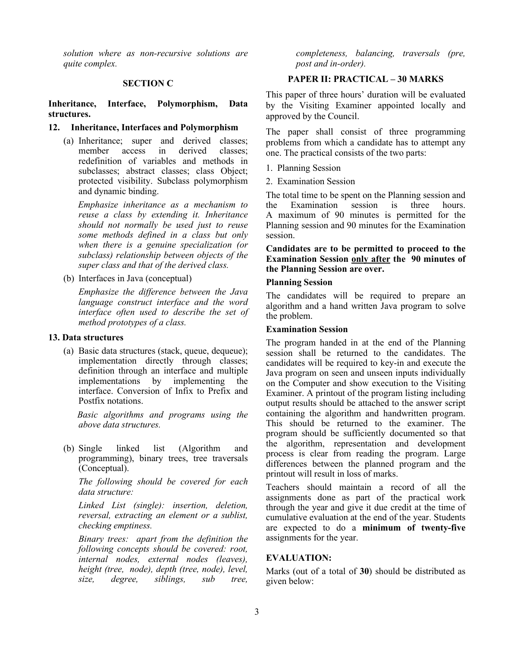*solution where as non-recursive solutions are quite complex.* 

#### **SECTION C**

#### **Inheritance, Interface, Polymorphism, Data structures.**

#### **12. Inheritance, Interfaces and Polymorphism**

(a) Inheritance; super and derived classes; member access in derived classes: redefinition of variables and methods in subclasses; abstract classes; class Object; protected visibility. Subclass polymorphism and dynamic binding.

*Emphasize inheritance as a mechanism to reuse a class by extending it. Inheritance should not normally be used just to reuse some methods defined in a class but only when there is a genuine specialization (or subclass) relationship between objects of the super class and that of the derived class.*

(b) Interfaces in Java (conceptual)

*Emphasize the difference between the Java language construct interface and the word interface often used to describe the set of method prototypes of a class.*

#### **13. Data structures**

(a) Basic data structures (stack, queue, dequeue); implementation directly through classes; definition through an interface and multiple implementations by implementing the interface. Conversion of Infix to Prefix and Postfix notations.

 *Basic algorithms and programs using the above data structures.*

(b) Single linked list (Algorithm and programming), binary trees, tree traversals (Conceptual).

*The following should be covered for each data structure:*

*Linked List (single): insertion, deletion, reversal, extracting an element or a sublist, checking emptiness.* 

*Binary trees: apart from the definition the following concepts should be covered: root, internal nodes, external nodes (leaves), height (tree, node), depth (tree, node), level, size, degree, siblings, sub tree,* 

*completeness, balancing, traversals (pre, post and in-order).* 

## **PAPER II: PRACTICAL – 30 MARKS**

This paper of three hours' duration will be evaluated by the Visiting Examiner appointed locally and approved by the Council.

The paper shall consist of three programming problems from which a candidate has to attempt any one. The practical consists of the two parts:

- 1. Planning Session
- 2. Examination Session

The total time to be spent on the Planning session and the Examination session is three hours. A maximum of 90 minutes is permitted for the Planning session and 90 minutes for the Examination session.

## **Candidates are to be permitted to proceed to the Examination Session only after the 90 minutes of the Planning Session are over.**

#### **Planning Session**

The candidates will be required to prepare an algorithm and a hand written Java program to solve the problem.

#### **Examination Session**

The program handed in at the end of the Planning session shall be returned to the candidates. The candidates will be required to key-in and execute the Java program on seen and unseen inputs individually on the Computer and show execution to the Visiting Examiner. A printout of the program listing including output results should be attached to the answer script containing the algorithm and handwritten program. This should be returned to the examiner. The program should be sufficiently documented so that the algorithm, representation and development process is clear from reading the program. Large differences between the planned program and the printout will result in loss of marks.

Teachers should maintain a record of all the assignments done as part of the practical work through the year and give it due credit at the time of cumulative evaluation at the end of the year. Students are expected to do a **minimum of twenty-five** assignments for the year.

## **EVALUATION:**

Marks (out of a total of **30**) should be distributed as given below: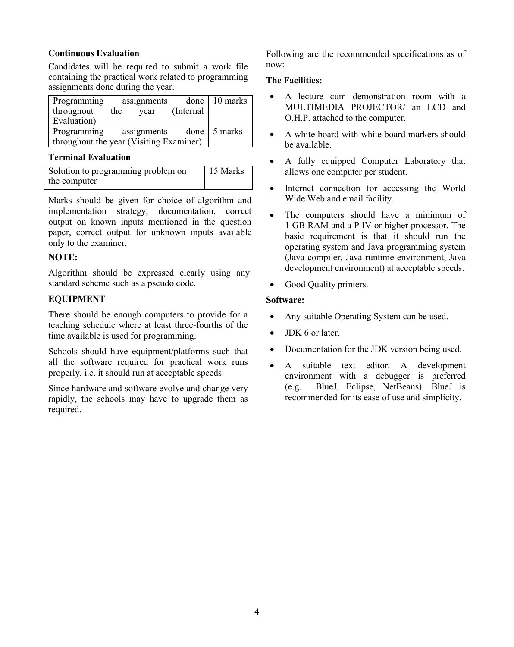## **Continuous Evaluation**

Candidates will be required to submit a work file containing the practical work related to programming assignments done during the year.

| Programming                             |                          | assignments |            | done   10 marks |
|-----------------------------------------|--------------------------|-------------|------------|-----------------|
| throughout                              | the                      | year        | (Internal) |                 |
| Evaluation)                             |                          |             |            |                 |
| Programming                             | done $\frac{1}{2}$ marks |             |            |                 |
| throughout the year (Visiting Examiner) |                          |             |            |                 |

## **Terminal Evaluation**

| Solution to programming problem on | 15 Marks |
|------------------------------------|----------|
| the computer                       |          |

Marks should be given for choice of algorithm and implementation strategy, documentation, correct output on known inputs mentioned in the question paper, correct output for unknown inputs available only to the examiner.

## **NOTE:**

Algorithm should be expressed clearly using any standard scheme such as a pseudo code.

## **EQUIPMENT**

There should be enough computers to provide for a teaching schedule where at least three-fourths of the time available is used for programming.

Schools should have equipment/platforms such that all the software required for practical work runs properly, i.e. it should run at acceptable speeds.

Since hardware and software evolve and change very rapidly, the schools may have to upgrade them as required.

Following are the recommended specifications as of now:

## **The Facilities:**

- A lecture cum demonstration room with a MULTIMEDIA PROJECTOR/ an LCD and O.H.P. attached to the computer.
- A white board with white board markers should be available.
- A fully equipped Computer Laboratory that allows one computer per student.
- Internet connection for accessing the World Wide Web and email facility.
- The computers should have a minimum of 1 GB RAM and a P IV or higher processor. The basic requirement is that it should run the operating system and Java programming system (Java compiler, Java runtime environment, Java development environment) at acceptable speeds.
- Good Quality printers.

## **Software:**

- Any suitable Operating System can be used.
- JDK 6 or later.
- Documentation for the JDK version being used.
- A suitable text editor. A development environment with a debugger is preferred (e.g. BlueJ, Eclipse, NetBeans). BlueJ is recommended for its ease of use and simplicity.